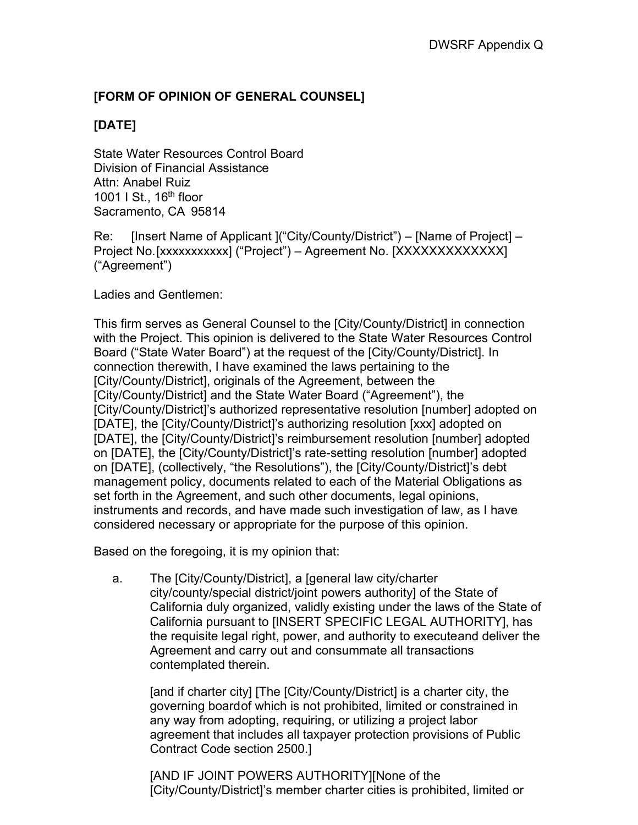## **[FORM OF OPINION OF GENERAL COUNSEL]**

## **[DATE]**

State Water Resources Control Board Division of Financial Assistance Attn: Anabel Ruiz 1001 I St., 16<sup>th</sup> floor Sacramento, CA 95814

Re: [Insert Name of Applicant ]("City/County/District") – [Name of Project] – Project No. [xxxxxxxxxxx] ("Project") – Agreement No. [XXXXXXXXXXXXX] ("Agreement")

Ladies and Gentlemen:

This firm serves as General Counsel to the [City/County/District] in connection with the Project. This opinion is delivered to the State Water Resources Control Board ("State Water Board") at the request of the [City/County/District]. In connection therewith, I have examined the laws pertaining to the [City/County/District], originals of the Agreement, between the [City/County/District] and the State Water Board ("Agreement"), the [City/County/District]'s authorized representative resolution [number] adopted on [DATE], the [City/County/District]'s authorizing resolution [xxx] adopted on [DATE], the [City/County/District]'s reimbursement resolution [number] adopted on [DATE], the [City/County/District]'s rate-setting resolution [number] adopted on [DATE], (collectively, "the Resolutions"), the [City/County/District]'s debt management policy, documents related to each of the Material Obligations as set forth in the Agreement, and such other documents, legal opinions, instruments and records, and have made such investigation of law, as I have considered necessary or appropriate for the purpose of this opinion.

Based on the foregoing, it is my opinion that:

a. The [City/County/District], a [general law city/charter city/county/special district/joint powers authority] of the State of California duly organized, validly existing under the laws of the State of California pursuant to [INSERT SPECIFIC LEGAL AUTHORITY], has the requisite legal right, power, and authority to executeand deliver the Agreement and carry out and consummate all transactions contemplated therein.

[and if charter city] [The [City/County/District] is a charter city, the governing boardof which is not prohibited, limited or constrained in any way from adopting, requiring, or utilizing a project labor agreement that includes all taxpayer protection provisions of Public Contract Code section 2500.]

[AND IF JOINT POWERS AUTHORITY][None of the [City/County/District]'s member charter cities is prohibited, limited or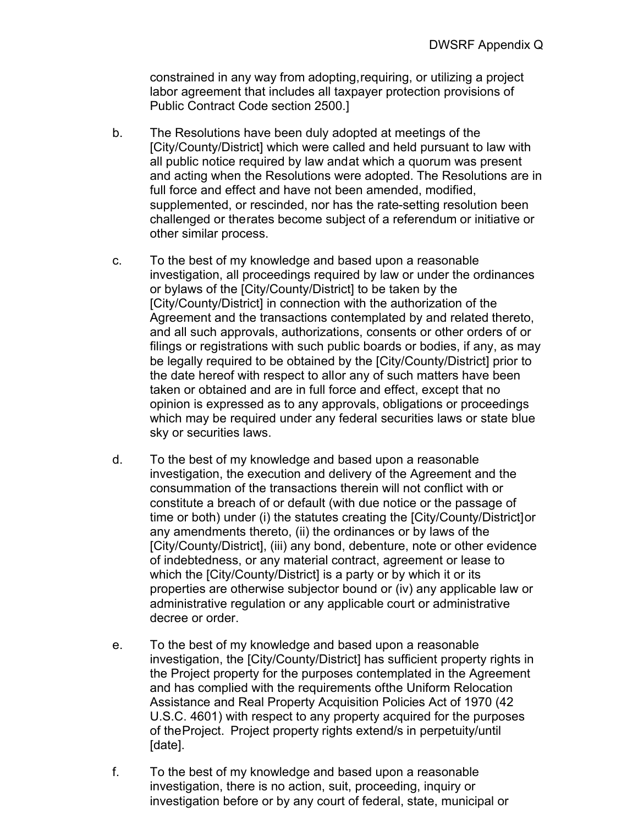constrained in any way from adopting, requiring, or utilizing a project labor agreement that includes all taxpayer protection provisions of Public Contract Code section 2500.]

- b. The Resolutions have been duly adopted at meetings of the [City/County/District] which were called and held pursuant to law with all public notice required by law andat which a quorum was present and acting when the Resolutions were adopted. The Resolutions are in full force and effect and have not been amended, modified, supplemented, or rescinded, nor has the rate-setting resolution been challenged or therates become subject of a referendum or initiative or other similar process.
- c. To the best of my knowledge and based upon a reasonable investigation, all proceedings required by law or under the ordinances or bylaws of the [City/County/District] to be taken by the [City/County/District] in connection with the authorization of the Agreement and the transactions contemplated by and related thereto, and all such approvals, authorizations, consents or other orders of or filings or registrations with such public boards or bodies, if any, as may be legally required to be obtained by the [City/County/District] prior to the date hereof with respect to allor any of such matters have been taken or obtained and are in full force and effect, except that no opinion is expressed as to any approvals, obligations or proceedings which may be required under any federal securities laws or state blue sky or securities laws.
- d. To the best of my knowledge and based upon a reasonable investigation, the execution and delivery of the Agreement and the consummation of the transactions therein will not conflict with or constitute a breach of or default (with due notice or the passage of time or both) under (i) the statutes creating the [City/County/District]or any amendments thereto, (ii) the ordinances or by laws of the [City/County/District], (iii) any bond, debenture, note or other evidence of indebtedness, or any material contract, agreement or lease to which the  $\left[\frac{C}{V}\right]$ County/District] is a party or by which it or its properties are otherwise subjector bound or (iv) any applicable law or administrative regulation or any applicable court or administrative decree or order.
- e. To the best of my knowledge and based upon a reasonable investigation, the [City/County/District] has sufficient property rights in the Project property for the purposes contemplated in the Agreement and has complied with the requirements ofthe Uniform Relocation Assistance and Real Property Acquisition Policies Act of 1970 (42 U.S.C. 4601) with respect to any property acquired for the purposes of theProject. Project property rights extend/s in perpetuity/until [date].
- f. To the best of my knowledge and based upon a reasonable investigation, there is no action, suit, proceeding, inquiry or investigation before or by any court of federal, state, municipal or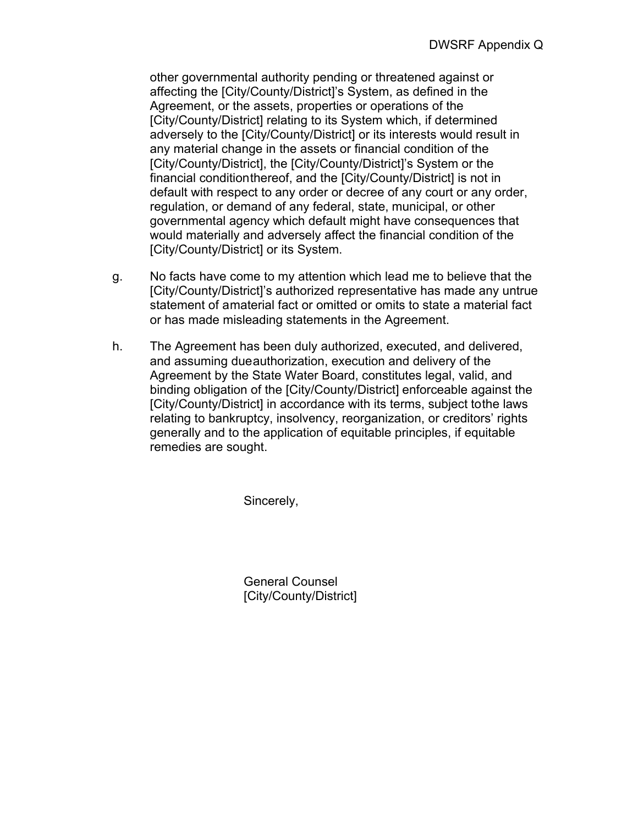other governmental authority pending or threatened against or affecting the [City/County/District]'s System, as defined in the Agreement, or the assets, properties or operations of the [City/County/District] relating to its System which, if determined adversely to the [City/County/District] or its interests would result in any material change in the assets or financial condition of the [City/County/District], the [City/County/District]'s System or the financial conditionthereof, and the [City/County/District] is not in default with respect to any order or decree of any court or any order, regulation, or demand of any federal, state, municipal, or other governmental agency which default might have consequences that would materially and adversely affect the financial condition of the [City/County/District] or its System.

- g. No facts have come to my attention which lead me to believe that the [City/County/District]'s authorized representative has made any untrue statement of amaterial fact or omitted or omits to state a material fact or has made misleading statements in the Agreement.
- h. The Agreement has been duly authorized, executed, and delivered, and assuming dueauthorization, execution and delivery of the Agreement by the State Water Board, constitutes legal, valid, and binding obligation of the [City/County/District] enforceable against the [City/County/District] in accordance with its terms, subject tothe laws relating to bankruptcy, insolvency, reorganization, or creditors' rights generally and to the application of equitable principles, if equitable remedies are sought.

Sincerely,

General Counsel [City/County/District]